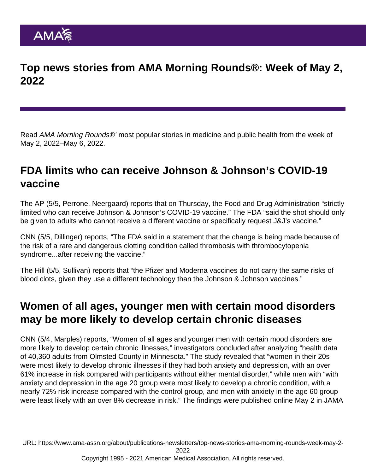# Top news stories from AMA Morning Rounds®: Week of May 2, 2022

Read AMA Morning Rounds®' most popular stories in medicine and public health from the week of May 2, 2022–May 6, 2022.

# FDA limits who can receive Johnson & Johnson's COVID-19 vaccine

The [AP](https://apnews.com/article/covid-science-business-health-11b4f26de57da9b1b62669c1b2394ab3) (5/5, Perrone, Neergaard) reports that on Thursday, the Food and Drug Administration "strictly limited who can receive Johnson & Johnson's COVID-19 vaccine." The FDA "said the shot should only be given to adults who cannot receive a different vaccine or specifically request J&J's vaccine."

[CNN](https://www.cnn.com/2022/05/05/health/fda-johnson-johnson-vaccine-eua/index.html) (5/5, Dillinger) reports, "The FDA said in a statement that the change is being made because of the risk of a rare and dangerous clotting condition called thrombosis with thrombocytopenia syndrome...after receiving the vaccine."

[The Hill](https://thehill.com/policy/healthcare/3478999-fda-limits-use-of-jj-vaccine-over-rare-blood-clots/) (5/5, Sullivan) reports that "the Pfizer and Moderna vaccines do not carry the same risks of blood clots, given they use a different technology than the Johnson & Johnson vaccines."

# Women of all ages, younger men with certain mood disorders may be more likely to develop certain chronic diseases

[CNN](https://cnn.com/2022/05/04/health/depression-anxiety-chronic-conditions-wellness/index.html) (5/4, Marples) reports, "Women of all ages and younger men with certain mood disorders are more likely to develop certain chronic illnesses," investigators concluded after analyzing "health data of 40,360 adults from Olmsted County in Minnesota." The study revealed that "women in their 20s were most likely to develop chronic illnesses if they had both anxiety and depression, with an over 61% increase in risk compared with participants without either mental disorder," while men with "with anxiety and depression in the age 20 group were most likely to develop a chronic condition, with a nearly 72% risk increase compared with the control group, and men with anxiety in the age 60 group were least likely with an over 8% decrease in risk." The [findings](https://jamanetwork.com/journals/jamanetworkopen/fullarticle/2791768#:~:text=Depression and anxiety are associated,a proxy for accelerated aging.) were published online May 2 in JAMA

URL: [https://www.ama-assn.org/about/publications-newsletters/top-news-stories-ama-morning-rounds-week-may-2-](https://www.ama-assn.org/about/publications-newsletters/top-news-stories-ama-morning-rounds-week-may-2-2022)

[2022](https://www.ama-assn.org/about/publications-newsletters/top-news-stories-ama-morning-rounds-week-may-2-2022)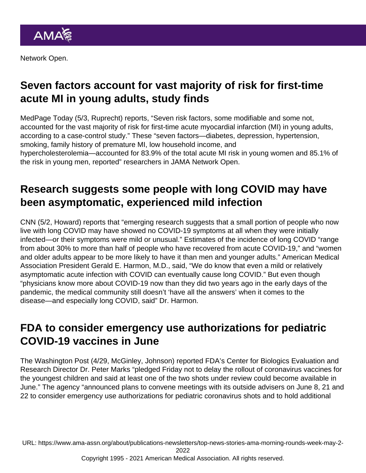Network Open.

# Seven factors account for vast majority of risk for first-time acute MI in young adults, study finds

[MedPage Today](https://www.medpagetoday.com/cardiology/prevention/98522) (5/3, Ruprecht) reports, "Seven risk factors, some modifiable and some not, accounted for the vast majority of risk for first-time acute myocardial infarction (MI) in young adults, according to a case-control [study](https://jamanetwork.com/journals/jamanetworkopen/fullarticle/2791808)." These "seven factors—diabetes, depression, hypertension, smoking, family history of premature MI, low household income, and hypercholesterolemia—accounted for 83.9% of the total acute MI risk in young women and 85.1% of the risk in young men, reported" researchers in JAMA Network Open.

#### Research suggests some people with long COVID may have been asymptomatic, experienced mild infection

[CNN](https://www.cnn.com/2022/05/02/health/long-covid-asympomatic-cases/index.html) (5/2, Howard) reports that "emerging research suggests that a small portion of people who now live with long COVID may have showed no COVID-19 symptoms at all when they were initially infected—or their symptoms were mild or unusual." Estimates of the incidence of long COVID "range from about 30% to more than half of people who have recovered from acute COVID-19," and "women and older adults appear to be more likely to have it than men and younger adults." American Medical Association President Gerald E. Harmon, M.D., said, "We do know that even a mild or relatively asymptomatic acute infection with COVID can eventually cause long COVID." But even though "physicians know more about COVID-19 now than they did two years ago in the early days of the pandemic, the medical community still doesn't 'have all the answers' when it comes to the disease—and especially long COVID, said" Dr. Harmon.

#### FDA to consider emergency use authorizations for pediatric COVID-19 vaccines in June

The [Washington Post](https://www.washingtonpost.com/health/2022/04/29/covid-shots-children-under-5/) (4/29, McGinley, Johnson) reported FDA's Center for Biologics Evaluation and Research Director Dr. Peter Marks "pledged Friday not to delay the rollout of coronavirus vaccines for the youngest children and said at least one of the two shots under review could become available in June." The agency "announced plans to convene meetings with its outside advisers on June 8, 21 and 22 to consider emergency use authorizations for pediatric coronavirus shots and to hold additional

URL: [https://www.ama-assn.org/about/publications-newsletters/top-news-stories-ama-morning-rounds-week-may-2-](https://www.ama-assn.org/about/publications-newsletters/top-news-stories-ama-morning-rounds-week-may-2-2022)

[2022](https://www.ama-assn.org/about/publications-newsletters/top-news-stories-ama-morning-rounds-week-may-2-2022)